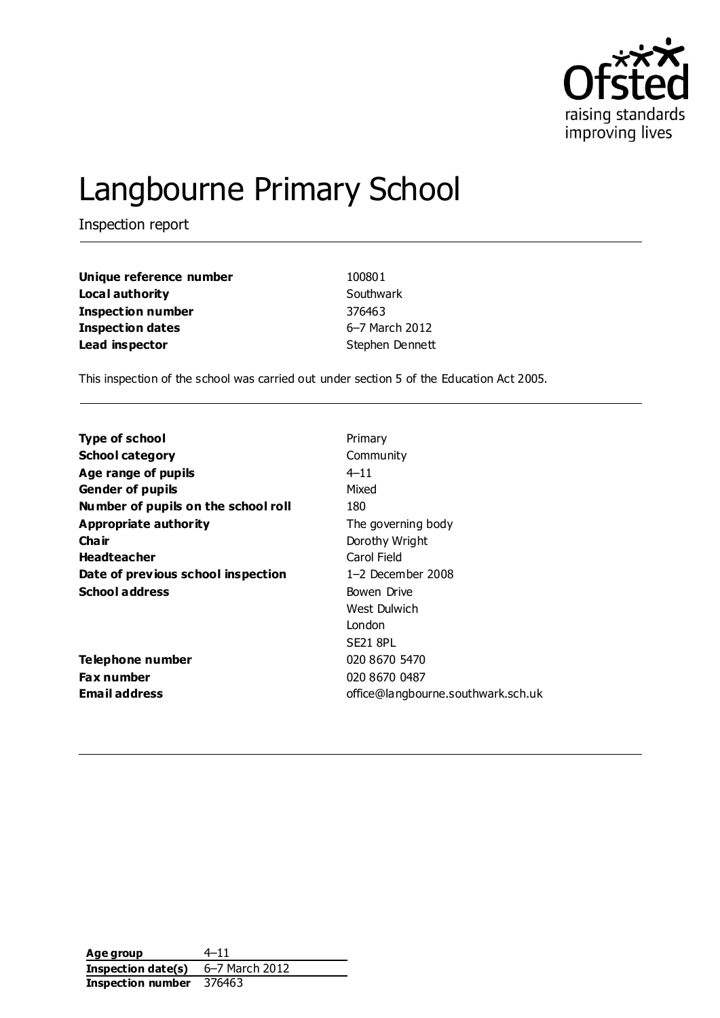

# Langbourne Primary School

Inspection report

| Unique reference number  | 100801          |
|--------------------------|-----------------|
| Local authority          | Southwark       |
| <b>Inspection number</b> | 376463          |
| <b>Inspection dates</b>  | 6-7 March 2012  |
| Lead inspector           | Stephen Dennett |

This inspection of the school was carried out under section 5 of the Education Act 2005.

| Type of school                      | Primary                            |
|-------------------------------------|------------------------------------|
| <b>School category</b>              | Community                          |
| Age range of pupils                 | $4 - 11$                           |
| <b>Gender of pupils</b>             | Mixed                              |
| Number of pupils on the school roll | 180                                |
| Appropriate authority               | The governing body                 |
| Cha ir                              | Dorothy Wright                     |
| <b>Headteacher</b>                  | Carol Field                        |
| Date of previous school inspection  | $1-2$ December 2008                |
| <b>School address</b>               | Bowen Drive                        |
|                                     | West Dulwich                       |
|                                     | London                             |
|                                     | <b>SE21 8PL</b>                    |
| Telephone number                    | 020 8670 5470                      |
| <b>Fax number</b>                   | 020 8670 0487                      |
| <b>Email address</b>                | office@langbourne.southwark.sch.uk |
|                                     |                                    |

**Age group** 4–11 **Inspection date(s)** 6–7 March 2012 **Inspection number** 376463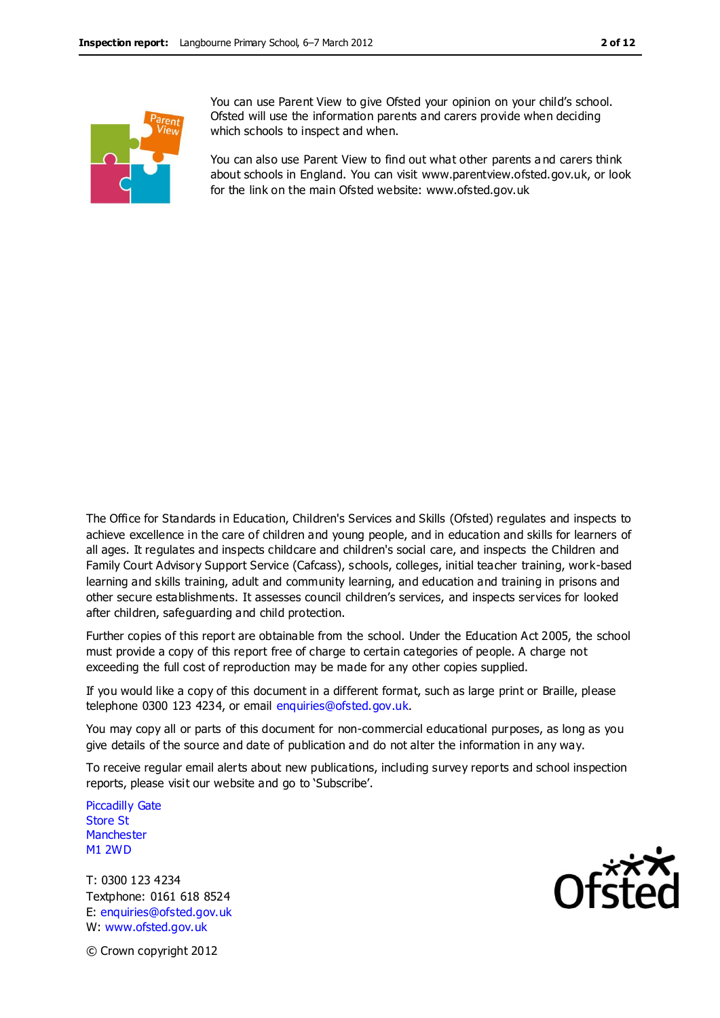

You can use Parent View to give Ofsted your opinion on your child's school. Ofsted will use the information parents and carers provide when deciding which schools to inspect and when.

You can also use Parent View to find out what other parents a nd carers think about schools in England. You can visit www.parentview.ofsted.gov.uk, or look for the link on the main Ofsted website: www.ofsted.gov.uk

The Office for Standards in Education, Children's Services and Skills (Ofsted) regulates and inspects to achieve excellence in the care of children and young people, and in education and skills for learners of all ages. It regulates and inspects childcare and children's social care, and inspects the Children and Family Court Advisory Support Service (Cafcass), schools, colleges, initial teacher training, work-based learning and skills training, adult and community learning, and education and training in prisons and other secure establishments. It assesses council children's services, and inspects services for looked after children, safeguarding and child protection.

Further copies of this report are obtainable from the school. Under the Education Act 2005, the school must provide a copy of this report free of charge to certain categories of people. A charge not exceeding the full cost of reproduction may be made for any other copies supplied.

If you would like a copy of this document in a different format, such as large print or Braille, please telephone 0300 123 4234, or email enquiries@ofsted.gov.uk.

You may copy all or parts of this document for non-commercial educational purposes, as long as you give details of the source and date of publication and do not alter the information in any way.

To receive regular email alerts about new publications, including survey reports and school inspection reports, please visit our website and go to 'Subscribe'.

Piccadilly Gate Store St **Manchester** M1 2WD

T: 0300 123 4234 Textphone: 0161 618 8524 E: enquiries@ofsted.gov.uk W: www.ofsted.gov.uk



© Crown copyright 2012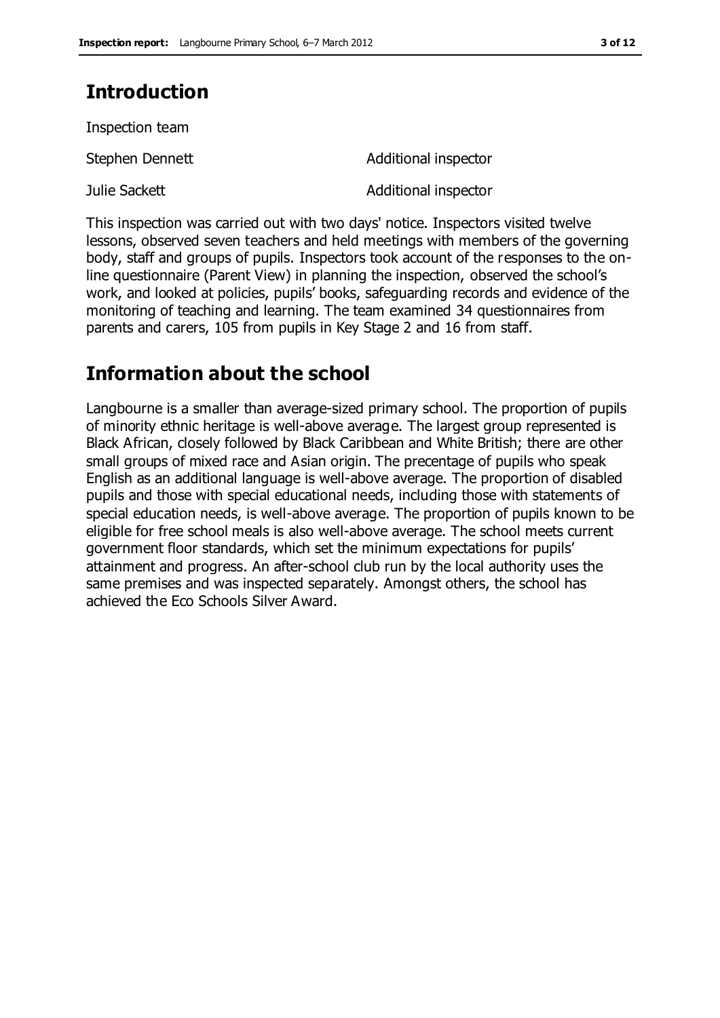## **Introduction**

Inspection team

| Stephen Dennett | Additional inspector |
|-----------------|----------------------|
| Julie Sackett   | Additional inspector |

This inspection was carried out with two days' notice. Inspectors visited twelve lessons, observed seven teachers and held meetings with members of the governing body, staff and groups of pupils. Inspectors took account of the responses to the online questionnaire (Parent View) in planning the inspection, observed the school's work, and looked at policies, pupils' books, safeguarding records and evidence of the monitoring of teaching and learning. The team examined 34 questionnaires from parents and carers, 105 from pupils in Key Stage 2 and 16 from staff.

## **Information about the school**

Langbourne is a smaller than average-sized primary school. The proportion of pupils of minority ethnic heritage is well-above average. The largest group represented is Black African, closely followed by Black Caribbean and White British; there are other small groups of mixed race and Asian origin. The precentage of pupils who speak English as an additional language is well-above average. The proportion of disabled pupils and those with special educational needs, including those with statements of special education needs, is well-above average. The proportion of pupils known to be eligible for free school meals is also well-above average. The school meets current government floor standards, which set the minimum expectations for pupils' attainment and progress. An after-school club run by the local authority uses the same premises and was inspected separately. Amongst others, the school has achieved the Eco Schools Silver Award.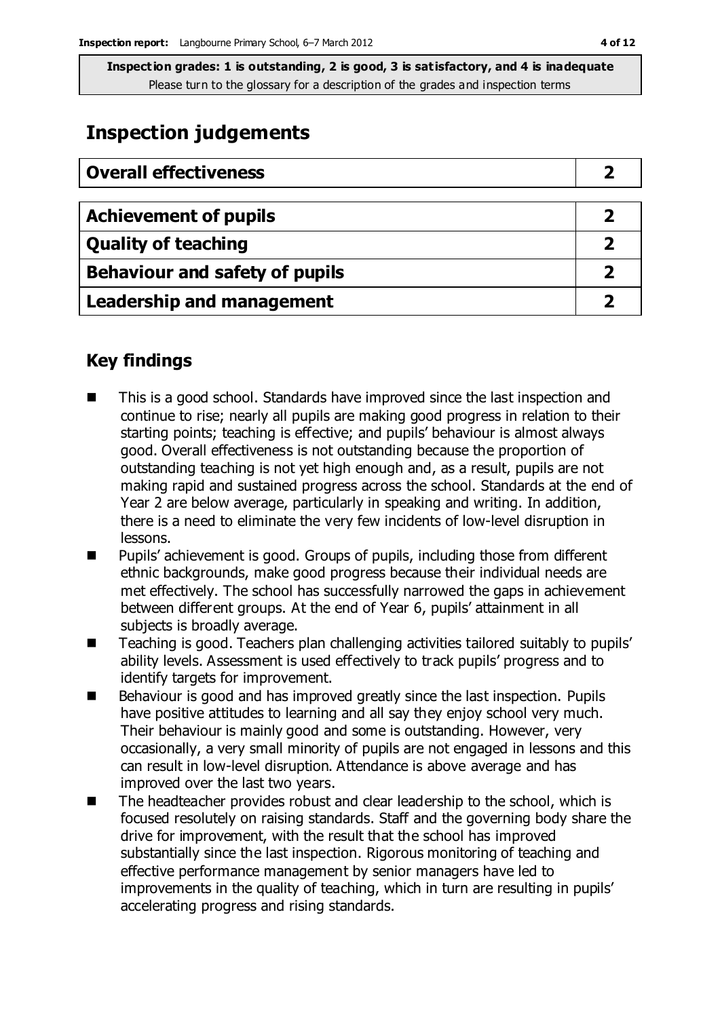## **Inspection judgements**

| <b>Overall effectiveness</b>          |  |
|---------------------------------------|--|
|                                       |  |
| <b>Achievement of pupils</b>          |  |
| <b>Quality of teaching</b>            |  |
| <b>Behaviour and safety of pupils</b> |  |
| <b>Leadership and management</b>      |  |

### **Key findings**

- This is a good school. Standards have improved since the last inspection and continue to rise; nearly all pupils are making good progress in relation to their starting points; teaching is effective; and pupils' behaviour is almost always good. Overall effectiveness is not outstanding because the proportion of outstanding teaching is not yet high enough and, as a result, pupils are not making rapid and sustained progress across the school. Standards at the end of Year 2 are below average, particularly in speaking and writing. In addition, there is a need to eliminate the very few incidents of low-level disruption in lessons.
- Pupils' achievement is good. Groups of pupils, including those from different ethnic backgrounds, make good progress because their individual needs are met effectively. The school has successfully narrowed the gaps in achievement between different groups. At the end of Year 6, pupils' attainment in all subjects is broadly average.
- Teaching is good. Teachers plan challenging activities tailored suitably to pupils' ability levels. Assessment is used effectively to track pupils' progress and to identify targets for improvement.
- Behaviour is good and has improved greatly since the last inspection. Pupils have positive attitudes to learning and all say they enjoy school very much. Their behaviour is mainly good and some is outstanding. However, very occasionally, a very small minority of pupils are not engaged in lessons and this can result in low-level disruption. Attendance is above average and has improved over the last two years.
- The headteacher provides robust and clear leadership to the school, which is focused resolutely on raising standards. Staff and the governing body share the drive for improvement, with the result that the school has improved substantially since the last inspection. Rigorous monitoring of teaching and effective performance management by senior managers have led to improvements in the quality of teaching, which in turn are resulting in pupils' accelerating progress and rising standards.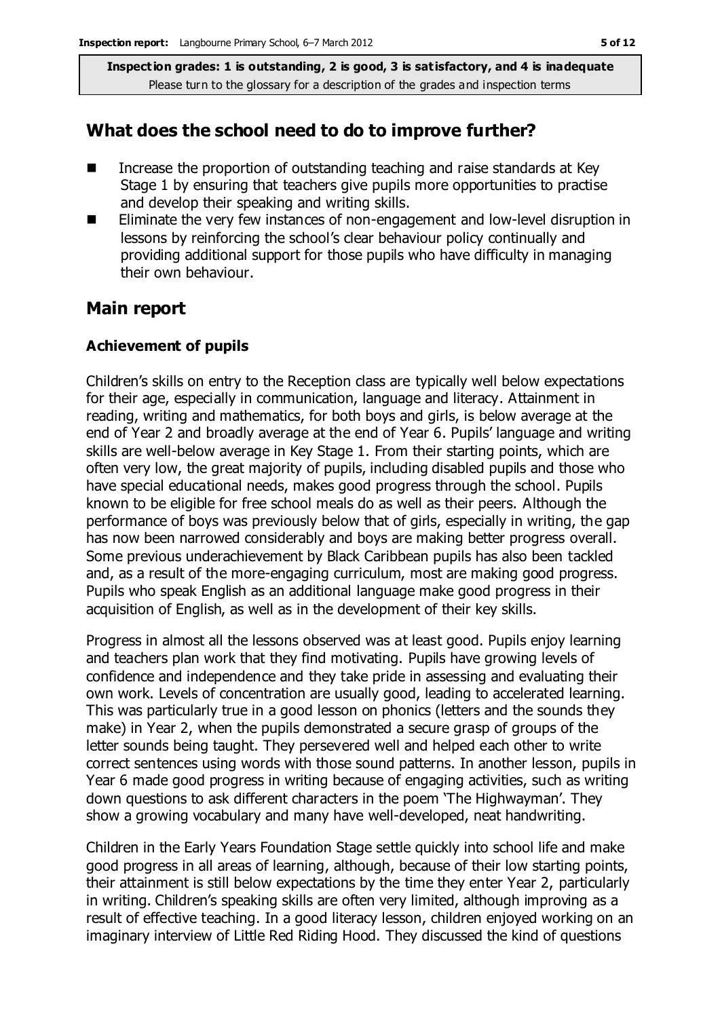#### **What does the school need to do to improve further?**

- Increase the proportion of outstanding teaching and raise standards at Key Stage 1 by ensuring that teachers give pupils more opportunities to practise and develop their speaking and writing skills.
- Eliminate the very few instances of non-engagement and low-level disruption in lessons by reinforcing the school's clear behaviour policy continually and providing additional support for those pupils who have difficulty in managing their own behaviour.

#### **Main report**

#### **Achievement of pupils**

Children's skills on entry to the Reception class are typically well below expectations for their age, especially in communication, language and literacy. Attainment in reading, writing and mathematics, for both boys and girls, is below average at the end of Year 2 and broadly average at the end of Year 6. Pupils' language and writing skills are well-below average in Key Stage 1. From their starting points, which are often very low, the great majority of pupils, including disabled pupils and those who have special educational needs, makes good progress through the school. Pupils known to be eligible for free school meals do as well as their peers. Although the performance of boys was previously below that of girls, especially in writing, the gap has now been narrowed considerably and boys are making better progress overall. Some previous underachievement by Black Caribbean pupils has also been tackled and, as a result of the more-engaging curriculum, most are making good progress. Pupils who speak English as an additional language make good progress in their acquisition of English, as well as in the development of their key skills.

Progress in almost all the lessons observed was at least good. Pupils enjoy learning and teachers plan work that they find motivating. Pupils have growing levels of confidence and independence and they take pride in assessing and evaluating their own work. Levels of concentration are usually good, leading to accelerated learning. This was particularly true in a good lesson on phonics (letters and the sounds they make) in Year 2, when the pupils demonstrated a secure grasp of groups of the letter sounds being taught. They persevered well and helped each other to write correct sentences using words with those sound patterns. In another lesson, pupils in Year 6 made good progress in writing because of engaging activities, such as writing down questions to ask different characters in the poem 'The Highwayman'. They show a growing vocabulary and many have well-developed, neat handwriting.

Children in the Early Years Foundation Stage settle quickly into school life and make good progress in all areas of learning, although, because of their low starting points, their attainment is still below expectations by the time they enter Year 2, particularly in writing. Children's speaking skills are often very limited, although improving as a result of effective teaching. In a good literacy lesson, children enjoyed working on an imaginary interview of Little Red Riding Hood. They discussed the kind of questions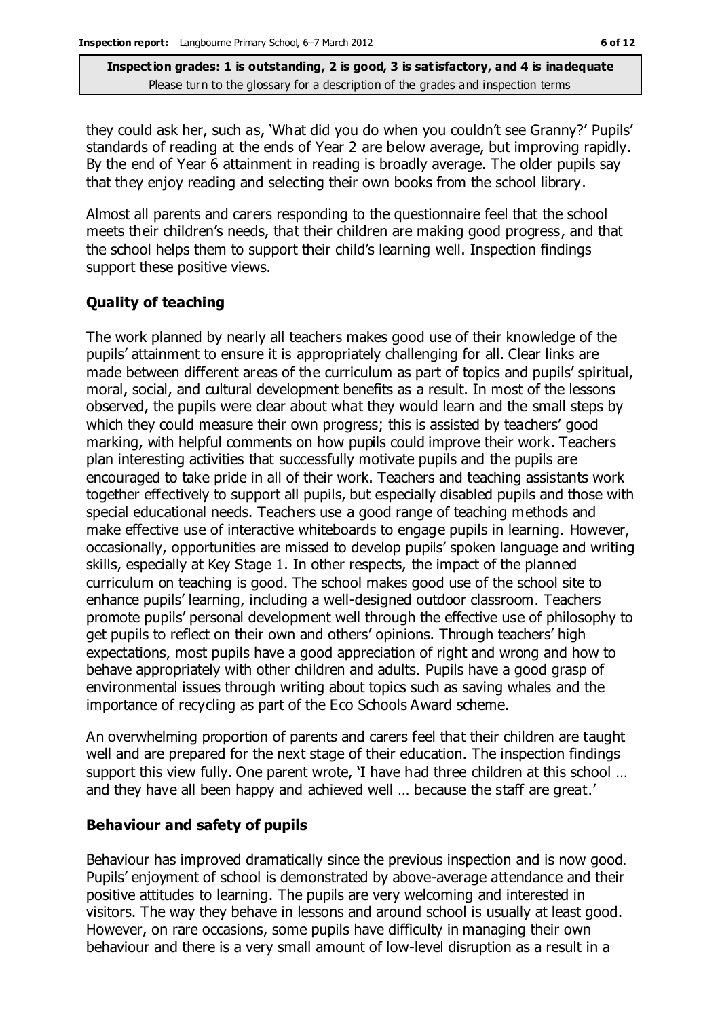they could ask her, such as, 'What did you do when you couldn't see Granny?' Pupils' standards of reading at the ends of Year 2 are below average, but improving rapidly. By the end of Year 6 attainment in reading is broadly average. The older pupils say that they enjoy reading and selecting their own books from the school library.

Almost all parents and carers responding to the questionnaire feel that the school meets their children's needs, that their children are making good progress, and that the school helps them to support their child's learning well. Inspection findings support these positive views.

#### **Quality of teaching**

The work planned by nearly all teachers makes good use of their knowledge of the pupils' attainment to ensure it is appropriately challenging for all. Clear links are made between different areas of the curriculum as part of topics and pupils' spiritual, moral, social, and cultural development benefits as a result. In most of the lessons observed, the pupils were clear about what they would learn and the small steps by which they could measure their own progress; this is assisted by teachers' good marking, with helpful comments on how pupils could improve their work. Teachers plan interesting activities that successfully motivate pupils and the pupils are encouraged to take pride in all of their work. Teachers and teaching assistants work together effectively to support all pupils, but especially disabled pupils and those with special educational needs. Teachers use a good range of teaching methods and make effective use of interactive whiteboards to engage pupils in learning. However, occasionally, opportunities are missed to develop pupils' spoken language and writing skills, especially at Key Stage 1. In other respects, the impact of the planned curriculum on teaching is good. The school makes good use of the school site to enhance pupils' learning, including a well-designed outdoor classroom. Teachers promote pupils' personal development well through the effective use of philosophy to get pupils to reflect on their own and others' opinions. Through teachers' high expectations, most pupils have a good appreciation of right and wrong and how to behave appropriately with other children and adults. Pupils have a good grasp of environmental issues through writing about topics such as saving whales and the importance of recycling as part of the Eco Schools Award scheme.

An overwhelming proportion of parents and carers feel that their children are taught well and are prepared for the next stage of their education. The inspection findings support this view fully. One parent wrote, 'I have had three children at this school … and they have all been happy and achieved well … because the staff are great.'

#### **Behaviour and safety of pupils**

Behaviour has improved dramatically since the previous inspection and is now good. Pupils' enjoyment of school is demonstrated by above-average attendance and their positive attitudes to learning. The pupils are very welcoming and interested in visitors. The way they behave in lessons and around school is usually at least good. However, on rare occasions, some pupils have difficulty in managing their own behaviour and there is a very small amount of low-level disruption as a result in a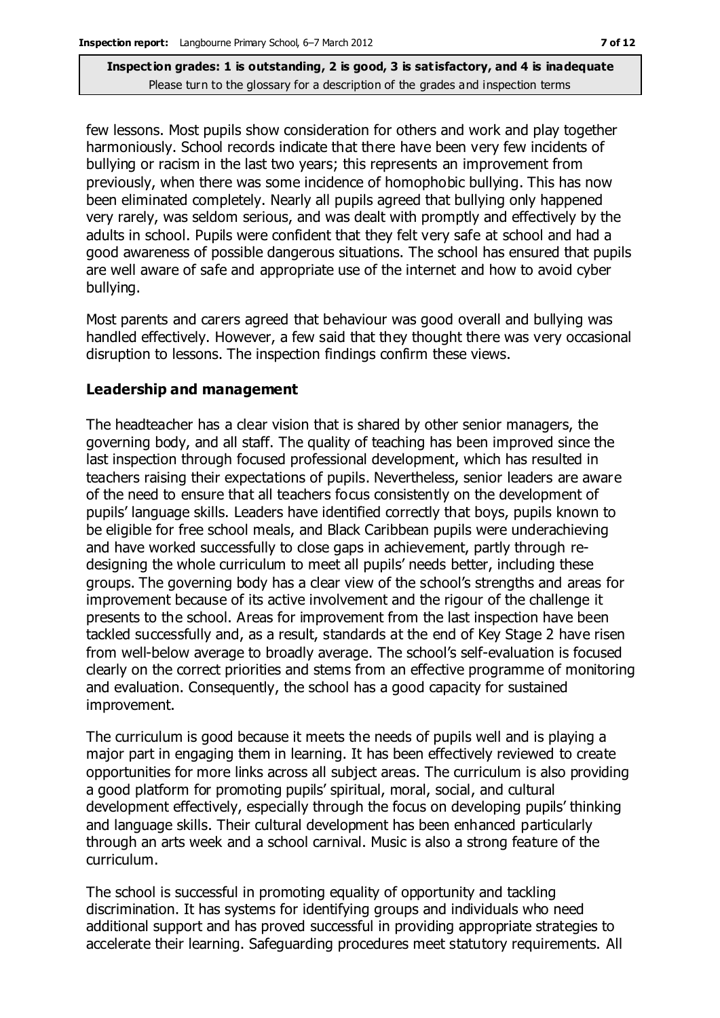few lessons. Most pupils show consideration for others and work and play together harmoniously. School records indicate that there have been very few incidents of bullying or racism in the last two years; this represents an improvement from previously, when there was some incidence of homophobic bullying. This has now been eliminated completely. Nearly all pupils agreed that bullying only happened very rarely, was seldom serious, and was dealt with promptly and effectively by the adults in school. Pupils were confident that they felt very safe at school and had a good awareness of possible dangerous situations. The school has ensured that pupils are well aware of safe and appropriate use of the internet and how to avoid cyber bullying.

Most parents and carers agreed that behaviour was good overall and bullying was handled effectively. However, a few said that they thought there was very occasional disruption to lessons. The inspection findings confirm these views.

#### **Leadership and management**

The headteacher has a clear vision that is shared by other senior managers, the governing body, and all staff. The quality of teaching has been improved since the last inspection through focused professional development, which has resulted in teachers raising their expectations of pupils. Nevertheless, senior leaders are aware of the need to ensure that all teachers focus consistently on the development of pupils' language skills. Leaders have identified correctly that boys, pupils known to be eligible for free school meals, and Black Caribbean pupils were underachieving and have worked successfully to close gaps in achievement, partly through redesigning the whole curriculum to meet all pupils' needs better, including these groups. The governing body has a clear view of the school's strengths and areas for improvement because of its active involvement and the rigour of the challenge it presents to the school. Areas for improvement from the last inspection have been tackled successfully and, as a result, standards at the end of Key Stage 2 have risen from well-below average to broadly average. The school's self-evaluation is focused clearly on the correct priorities and stems from an effective programme of monitoring and evaluation. Consequently, the school has a good capacity for sustained improvement.

The curriculum is good because it meets the needs of pupils well and is playing a major part in engaging them in learning. It has been effectively reviewed to create opportunities for more links across all subject areas. The curriculum is also providing a good platform for promoting pupils' spiritual, moral, social, and cultural development effectively, especially through the focus on developing pupils' thinking and language skills. Their cultural development has been enhanced particularly through an arts week and a school carnival. Music is also a strong feature of the curriculum.

The school is successful in promoting equality of opportunity and tackling discrimination. It has systems for identifying groups and individuals who need additional support and has proved successful in providing appropriate strategies to accelerate their learning. Safeguarding procedures meet statutory requirements. All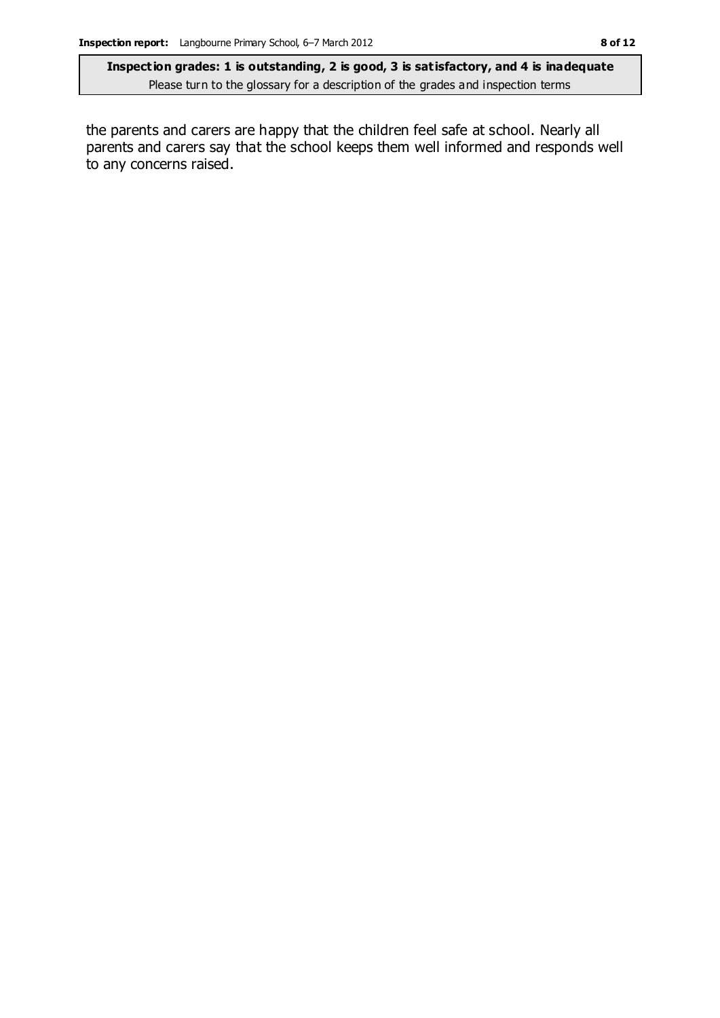the parents and carers are happy that the children feel safe at school. Nearly all parents and carers say that the school keeps them well informed and responds well to any concerns raised.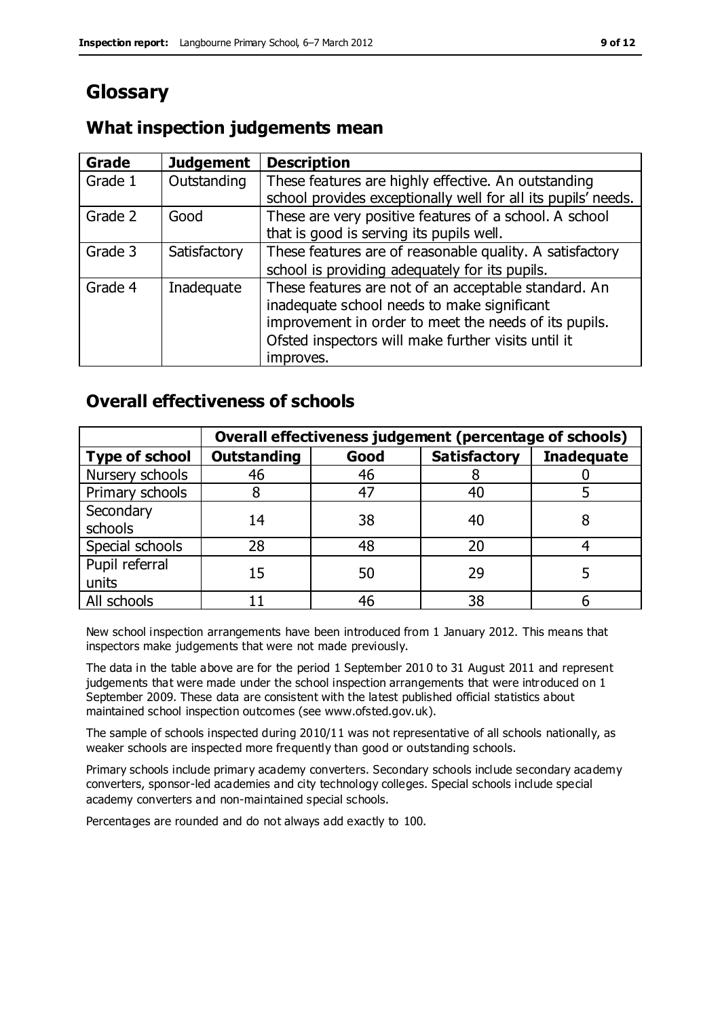# **Glossary**

## **What inspection judgements mean**

| Grade   | <b>Judgement</b> | <b>Description</b>                                            |
|---------|------------------|---------------------------------------------------------------|
| Grade 1 | Outstanding      | These features are highly effective. An outstanding           |
|         |                  | school provides exceptionally well for all its pupils' needs. |
| Grade 2 | Good             | These are very positive features of a school. A school        |
|         |                  | that is good is serving its pupils well.                      |
| Grade 3 | Satisfactory     | These features are of reasonable quality. A satisfactory      |
|         |                  | school is providing adequately for its pupils.                |
| Grade 4 | Inadequate       | These features are not of an acceptable standard. An          |
|         |                  | inadequate school needs to make significant                   |
|         |                  | improvement in order to meet the needs of its pupils.         |
|         |                  | Ofsted inspectors will make further visits until it           |
|         |                  | improves.                                                     |

## **Overall effectiveness of schools**

|                         | Overall effectiveness judgement (percentage of schools) |      |                     |                   |
|-------------------------|---------------------------------------------------------|------|---------------------|-------------------|
| <b>Type of school</b>   | <b>Outstanding</b>                                      | Good | <b>Satisfactory</b> | <b>Inadequate</b> |
| Nursery schools         | 46                                                      | 46   |                     |                   |
| Primary schools         |                                                         | 47   | 40                  |                   |
| Secondary<br>schools    | 14                                                      | 38   | 40                  |                   |
| Special schools         | 28                                                      | 48   | 20                  |                   |
| Pupil referral<br>units | 15                                                      | 50   | 29                  |                   |
| All schools             |                                                         | 46   | 38                  |                   |

New school inspection arrangements have been introduced from 1 January 2012. This means that inspectors make judgements that were not made previously.

The data in the table above are for the period 1 September 2010 to 31 August 2011 and represent judgements that were made under the school inspection arrangements that were introduced on 1 September 2009. These data are consistent with the latest published official statistics about maintained school inspection outcomes (see www.ofsted.gov.uk).

The sample of schools inspected during 2010/11 was not representative of all schools nationally, as weaker schools are inspected more frequently than good or outstanding schools.

Primary schools include primary academy converters. Secondary schools include secondary academy converters, sponsor-led academies and city technology colleges. Special schools include special academy converters and non-maintained special schools.

Percentages are rounded and do not always add exactly to 100.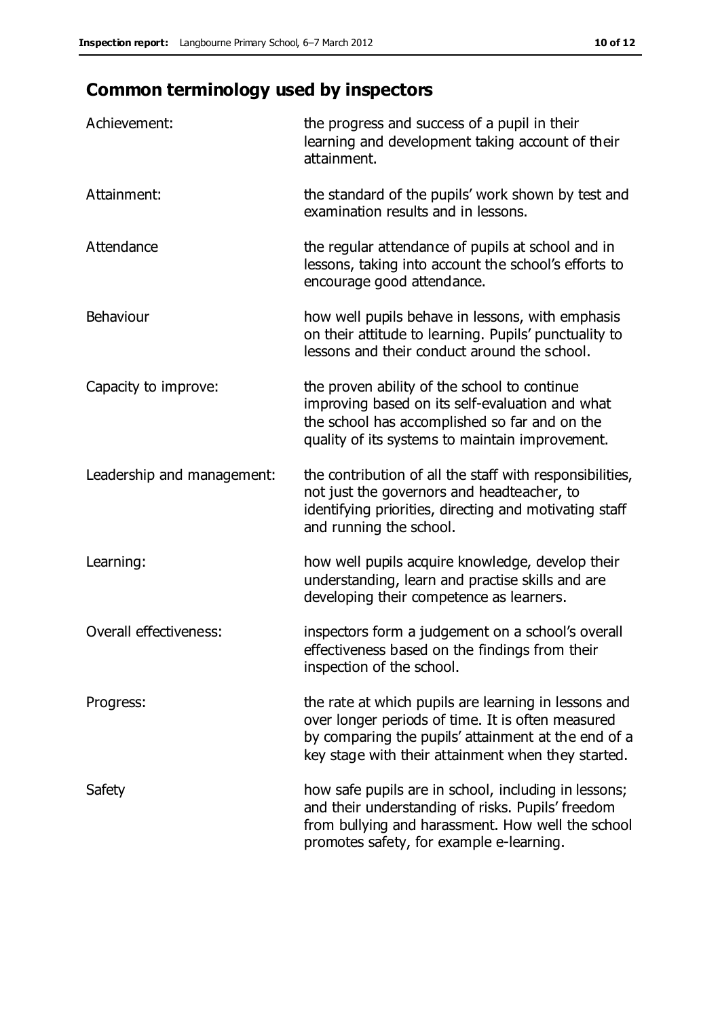# **Common terminology used by inspectors**

| Achievement:                  | the progress and success of a pupil in their<br>learning and development taking account of their<br>attainment.                                                                                                        |
|-------------------------------|------------------------------------------------------------------------------------------------------------------------------------------------------------------------------------------------------------------------|
| Attainment:                   | the standard of the pupils' work shown by test and<br>examination results and in lessons.                                                                                                                              |
| Attendance                    | the regular attendance of pupils at school and in<br>lessons, taking into account the school's efforts to<br>encourage good attendance.                                                                                |
| <b>Behaviour</b>              | how well pupils behave in lessons, with emphasis<br>on their attitude to learning. Pupils' punctuality to<br>lessons and their conduct around the school.                                                              |
| Capacity to improve:          | the proven ability of the school to continue<br>improving based on its self-evaluation and what<br>the school has accomplished so far and on the<br>quality of its systems to maintain improvement.                    |
| Leadership and management:    | the contribution of all the staff with responsibilities,<br>not just the governors and headteacher, to<br>identifying priorities, directing and motivating staff<br>and running the school.                            |
| Learning:                     | how well pupils acquire knowledge, develop their<br>understanding, learn and practise skills and are<br>developing their competence as learners.                                                                       |
| <b>Overall effectiveness:</b> | inspectors form a judgement on a school's overall<br>effectiveness based on the findings from their<br>inspection of the school.                                                                                       |
| Progress:                     | the rate at which pupils are learning in lessons and<br>over longer periods of time. It is often measured<br>by comparing the pupils' attainment at the end of a<br>key stage with their attainment when they started. |
| Safety                        | how safe pupils are in school, including in lessons;<br>and their understanding of risks. Pupils' freedom<br>from bullying and harassment. How well the school<br>promotes safety, for example e-learning.             |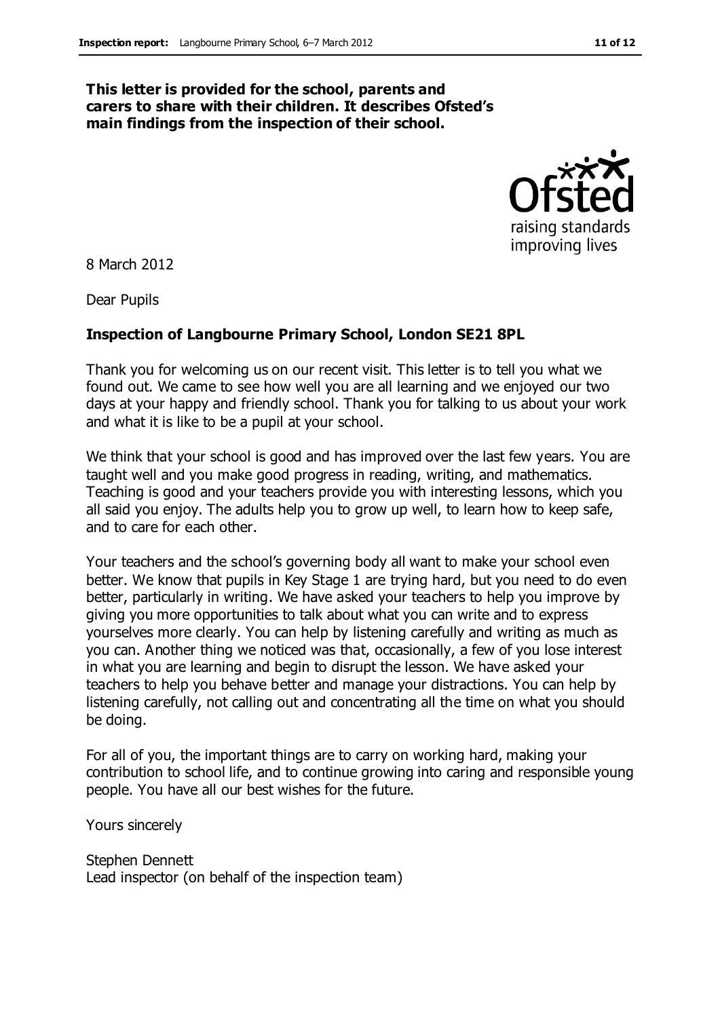#### **This letter is provided for the school, parents and carers to share with their children. It describes Ofsted's main findings from the inspection of their school.**



8 March 2012

Dear Pupils

#### **Inspection of Langbourne Primary School, London SE21 8PL**

Thank you for welcoming us on our recent visit. This letter is to tell you what we found out. We came to see how well you are all learning and we enjoyed our two days at your happy and friendly school. Thank you for talking to us about your work and what it is like to be a pupil at your school.

We think that your school is good and has improved over the last few years. You are taught well and you make good progress in reading, writing, and mathematics. Teaching is good and your teachers provide you with interesting lessons, which you all said you enjoy. The adults help you to grow up well, to learn how to keep safe, and to care for each other.

Your teachers and the school's governing body all want to make your school even better. We know that pupils in Key Stage 1 are trying hard, but you need to do even better, particularly in writing. We have asked your teachers to help you improve by giving you more opportunities to talk about what you can write and to express yourselves more clearly. You can help by listening carefully and writing as much as you can. Another thing we noticed was that, occasionally, a few of you lose interest in what you are learning and begin to disrupt the lesson. We have asked your teachers to help you behave better and manage your distractions. You can help by listening carefully, not calling out and concentrating all the time on what you should be doing.

For all of you, the important things are to carry on working hard, making your contribution to school life, and to continue growing into caring and responsible young people. You have all our best wishes for the future.

Yours sincerely

Stephen Dennett Lead inspector (on behalf of the inspection team)